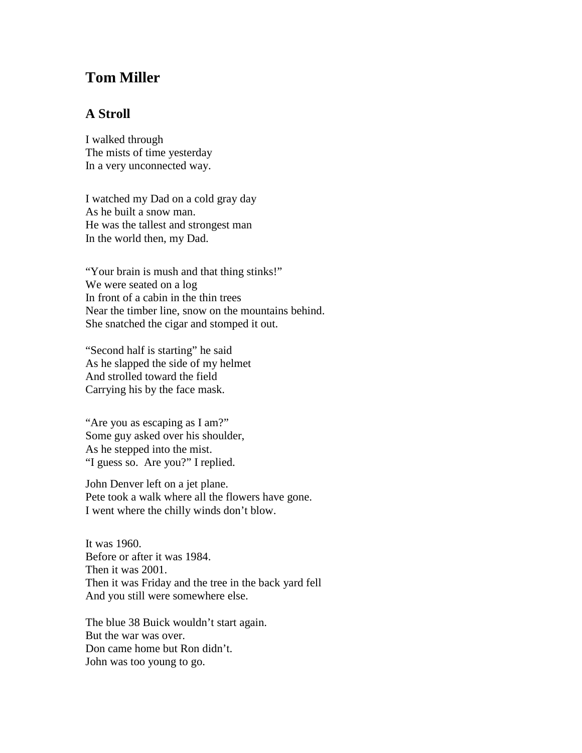## **Tom Miller**

## **A Stroll**

I walked through The mists of time yesterday In a very unconnected way.

I watched my Dad on a cold gray day As he built a snow man. He was the tallest and strongest man In the world then, my Dad.

"Your brain is mush and that thing stinks!" We were seated on a log In front of a cabin in the thin trees Near the timber line, snow on the mountains behind. She snatched the cigar and stomped it out.

"Second half is starting" he said As he slapped the side of my helmet And strolled toward the field Carrying his by the face mask.

"Are you as escaping as I am?" Some guy asked over his shoulder, As he stepped into the mist. "I guess so. Are you?" I replied.

John Denver left on a jet plane. Pete took a walk where all the flowers have gone. I went where the chilly winds don't blow.

It was 1960. Before or after it was 1984. Then it was 2001. Then it was Friday and the tree in the back yard fell And you still were somewhere else.

The blue 38 Buick wouldn't start again. But the war was over. Don came home but Ron didn't. John was too young to go.